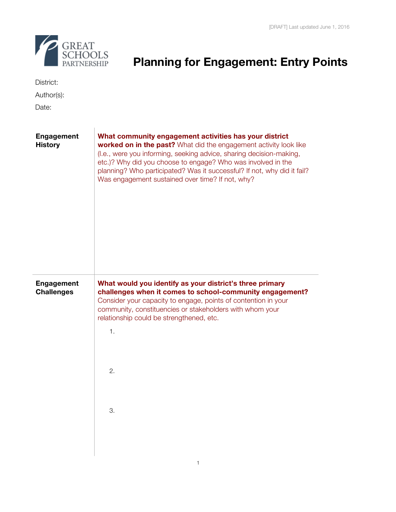

# GREAT<br>SCHOOLS<br>PARTNERSHIP **Planning for Engagement: Entry Points**

| District: |  |
|-----------|--|
|           |  |

Author(s):

Date:

| <b>Engagement</b><br><b>History</b> | What community engagement activities has your district<br>worked on in the past? What did the engagement activity look like<br>(I.e., were you informing, seeking advice, sharing decision-making,<br>etc.)? Why did you choose to engage? Who was involved in the<br>planning? Who participated? Was it successful? If not, why did it fail?<br>Was engagement sustained over time? If not, why? |
|-------------------------------------|---------------------------------------------------------------------------------------------------------------------------------------------------------------------------------------------------------------------------------------------------------------------------------------------------------------------------------------------------------------------------------------------------|
| Engagement<br><b>Challenges</b>     | What would you identify as your district's three primary<br>challenges when it comes to school-community engagement?<br>Consider your capacity to engage, points of contention in your<br>community, constituencies or stakeholders with whom your<br>relationship could be strengthened, etc.<br>1.<br>2.<br>3.                                                                                  |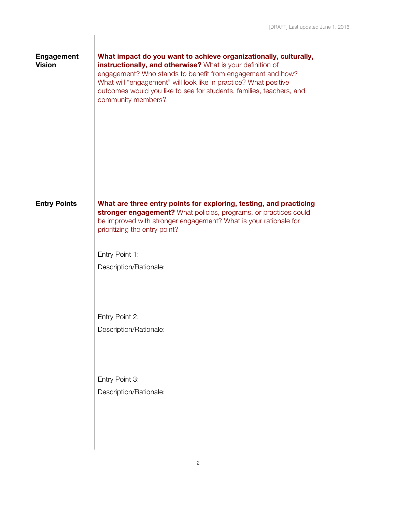| <b>Engagement</b><br><b>Vision</b> | What impact do you want to achieve organizationally, culturally,<br>instructionally, and otherwise? What is your definition of<br>engagement? Who stands to benefit from engagement and how?<br>What will "engagement" will look like in practice? What positive<br>outcomes would you like to see for students, families, teachers, and<br>community members? |
|------------------------------------|----------------------------------------------------------------------------------------------------------------------------------------------------------------------------------------------------------------------------------------------------------------------------------------------------------------------------------------------------------------|
| <b>Entry Points</b>                | What are three entry points for exploring, testing, and practicing<br>stronger engagement? What policies, programs, or practices could<br>be improved with stronger engagement? What is your rationale for<br>prioritizing the entry point?<br>Entry Point 1:<br>Description/Rationale:                                                                        |
|                                    | Entry Point 2:<br>Description/Rationale:                                                                                                                                                                                                                                                                                                                       |
|                                    | Entry Point 3:<br>Description/Rationale:                                                                                                                                                                                                                                                                                                                       |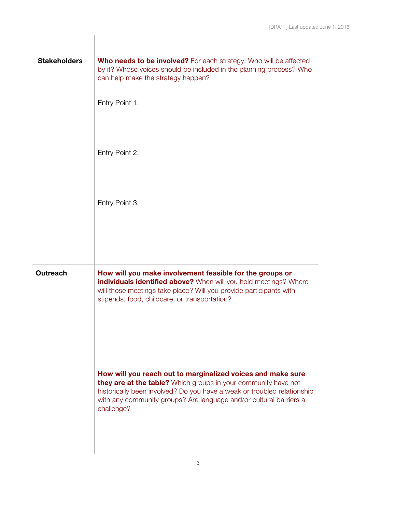| <b>Stakeholders</b> | <b>Who needs to be involved?</b> For each strategy: Who will be affected<br>by it? Whose voices should be included in the planning process? Who<br>can help make the strategy happen?                                                                                                        |
|---------------------|----------------------------------------------------------------------------------------------------------------------------------------------------------------------------------------------------------------------------------------------------------------------------------------------|
|                     | Entry Point 1:                                                                                                                                                                                                                                                                               |
|                     | Entry Point 2:                                                                                                                                                                                                                                                                               |
|                     | Entry Point 3:                                                                                                                                                                                                                                                                               |
|                     |                                                                                                                                                                                                                                                                                              |
| <b>Outreach</b>     | How will you make involvement feasible for the groups or<br>individuals identified above? When will you hold meetings? Where<br>will those meetings take place? Will you provide participants with<br>stipends, food, childcare, or transportation?                                          |
|                     | How will you reach out to marginalized voices and make sure<br>they are at the table? Which groups in your community have not<br>historically been involved? Do you have a weak or troubled relationship<br>with any community groups? Are language and/or cultural barriers a<br>challenge? |